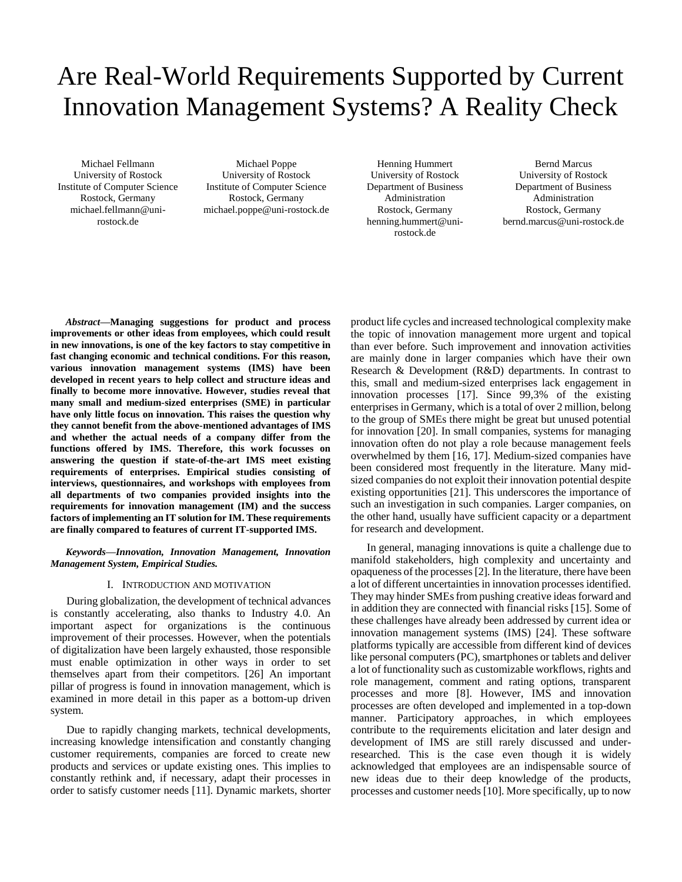# Are Real-World Requirements Supported by Current Innovation Management Systems? A Reality Check

Michael Fellmann University of Rostock Institute of Computer Science Rostock, Germany michael.fellmann@unirostock.de

Michael Poppe University of Rostock Institute of Computer Science Rostock, Germany michael.poppe@uni-rostock.de

Henning Hummert University of Rostock Department of Business Administration Rostock, Germany henning.hummert@unirostock.de

Bernd Marcus University of Rostock Department of Business Administration Rostock, Germany bernd.marcus@uni-rostock.de

*Abstract***—Managing suggestions for product and process improvements or other ideas from employees, which could result in new innovations, is one of the key factors to stay competitive in fast changing economic and technical conditions. For this reason, various innovation management systems (IMS) have been developed in recent years to help collect and structure ideas and finally to become more innovative. However, studies reveal that many small and medium-sized enterprises (SME) in particular have only little focus on innovation. This raises the question why they cannot benefit from the above-mentioned advantages of IMS and whether the actual needs of a company differ from the functions offered by IMS. Therefore, this work focusses on answering the question if state-of-the-art IMS meet existing requirements of enterprises. Empirical studies consisting of interviews, questionnaires, and workshops with employees from all departments of two companies provided insights into the requirements for innovation management (IM) and the success factors of implementing an IT solution for IM. These requirements are finally compared to features of current IT-supported IMS.**

*Keywords—Innovation, Innovation Management, Innovation Management System, Empirical Studies.*

#### I. INTRODUCTION AND MOTIVATION

During globalization, the development of technical advances is constantly accelerating, also thanks to Industry 4.0. An important aspect for organizations is the continuous improvement of their processes. However, when the potentials of digitalization have been largely exhausted, those responsible must enable optimization in other ways in order to set themselves apart from their competitors. [26] An important pillar of progress is found in innovation management, which is examined in more detail in this paper as a bottom-up driven system.

Due to rapidly changing markets, technical developments, increasing knowledge intensification and constantly changing customer requirements, companies are forced to create new products and services or update existing ones. This implies to constantly rethink and, if necessary, adapt their processes in order to satisfy customer needs [11]. Dynamic markets, shorter product life cycles and increased technological complexity make the topic of innovation management more urgent and topical than ever before. Such improvement and innovation activities are mainly done in larger companies which have their own Research & Development (R&D) departments. In contrast to this, small and medium-sized enterprises lack engagement in innovation processes [17]. Since 99,3% of the existing enterprises in Germany, which is a total of over 2 million, belong to the group of SMEs there might be great but unused potential for innovation [20]. In small companies, systems for managing innovation often do not play a role because management feels overwhelmed by them [16, 17]. Medium-sized companies have been considered most frequently in the literature. Many midsized companies do not exploit their innovation potential despite existing opportunities [21]. This underscores the importance of such an investigation in such companies. Larger companies, on the other hand, usually have sufficient capacity or a department for research and development.

In general, managing innovations is quite a challenge due to manifold stakeholders, high complexity and uncertainty and opaqueness of the processes [2]. In the literature, there have been a lot of different uncertainties in innovation processes identified. They may hinder SMEs from pushing creative ideas forward and in addition they are connected with financial risks [15]. Some of these challenges have already been addressed by current idea or innovation management systems (IMS) [24]. These software platforms typically are accessible from different kind of devices like personal computers (PC), smartphones or tablets and deliver a lot of functionality such as customizable workflows, rights and role management, comment and rating options, transparent processes and more [8]. However, IMS and innovation processes are often developed and implemented in a top-down manner. Participatory approaches, in which employees contribute to the requirements elicitation and later design and development of IMS are still rarely discussed and underresearched. This is the case even though it is widely acknowledged that employees are an indispensable source of new ideas due to their deep knowledge of the products, processes and customer needs [10]. More specifically, up to now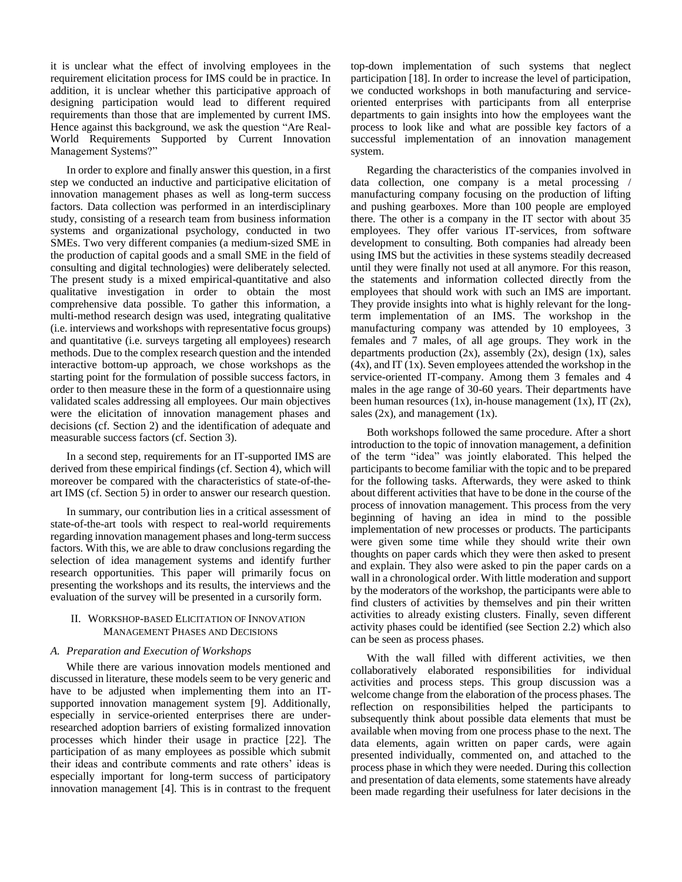it is unclear what the effect of involving employees in the requirement elicitation process for IMS could be in practice. In addition, it is unclear whether this participative approach of designing participation would lead to different required requirements than those that are implemented by current IMS. Hence against this background, we ask the question "Are Real-World Requirements Supported by Current Innovation Management Systems?"

In order to explore and finally answer this question, in a first step we conducted an inductive and participative elicitation of innovation management phases as well as long-term success factors. Data collection was performed in an interdisciplinary study, consisting of a research team from business information systems and organizational psychology, conducted in two SMEs. Two very different companies (a medium-sized SME in the production of capital goods and a small SME in the field of consulting and digital technologies) were deliberately selected. The present study is a mixed empirical-quantitative and also qualitative investigation in order to obtain the most comprehensive data possible. To gather this information, a multi-method research design was used, integrating qualitative (i.e. interviews and workshops with representative focus groups) and quantitative (i.e. surveys targeting all employees) research methods. Due to the complex research question and the intended interactive bottom-up approach, we chose workshops as the starting point for the formulation of possible success factors, in order to then measure these in the form of a questionnaire using validated scales addressing all employees. Our main objectives were the elicitation of innovation management phases and decisions (cf. Section 2) and the identification of adequate and measurable success factors (cf. Section 3).

In a second step, requirements for an IT-supported IMS are derived from these empirical findings (cf. Section 4), which will moreover be compared with the characteristics of state-of-theart IMS (cf. Section 5) in order to answer our research question.

In summary, our contribution lies in a critical assessment of state-of-the-art tools with respect to real-world requirements regarding innovation management phases and long-term success factors. With this, we are able to draw conclusions regarding the selection of idea management systems and identify further research opportunities. This paper will primarily focus on presenting the workshops and its results, the interviews and the evaluation of the survey will be presented in a cursorily form.

# II. WORKSHOP-BASED ELICITATION OF INNOVATION MANAGEMENT PHASES AND DECISIONS

## *A. Preparation and Execution of Workshops*

While there are various innovation models mentioned and discussed in literature, these models seem to be very generic and have to be adjusted when implementing them into an ITsupported innovation management system [9]. Additionally, especially in service-oriented enterprises there are underresearched adoption barriers of existing formalized innovation processes which hinder their usage in practice [22]. The participation of as many employees as possible which submit their ideas and contribute comments and rate others' ideas is especially important for long-term success of participatory innovation management [4]. This is in contrast to the frequent top-down implementation of such systems that neglect participation [18]. In order to increase the level of participation, we conducted workshops in both manufacturing and serviceoriented enterprises with participants from all enterprise departments to gain insights into how the employees want the process to look like and what are possible key factors of a successful implementation of an innovation management system.

Regarding the characteristics of the companies involved in data collection, one company is a metal processing / manufacturing company focusing on the production of lifting and pushing gearboxes. More than 100 people are employed there. The other is a company in the IT sector with about 35 employees. They offer various IT-services, from software development to consulting. Both companies had already been using IMS but the activities in these systems steadily decreased until they were finally not used at all anymore. For this reason, the statements and information collected directly from the employees that should work with such an IMS are important. They provide insights into what is highly relevant for the longterm implementation of an IMS. The workshop in the manufacturing company was attended by 10 employees, 3 females and 7 males, of all age groups. They work in the departments production  $(2x)$ , assembly  $(2x)$ , design  $(1x)$ , sales (4x), and IT (1x). Seven employees attended the workshop in the service-oriented IT-company. Among them 3 females and 4 males in the age range of 30-60 years. Their departments have been human resources  $(1x)$ , in-house management  $(1x)$ , IT  $(2x)$ , sales  $(2x)$ , and management  $(1x)$ .

Both workshops followed the same procedure. After a short introduction to the topic of innovation management, a definition of the term "idea" was jointly elaborated. This helped the participants to become familiar with the topic and to be prepared for the following tasks. Afterwards, they were asked to think about different activities that have to be done in the course of the process of innovation management. This process from the very beginning of having an idea in mind to the possible implementation of new processes or products. The participants were given some time while they should write their own thoughts on paper cards which they were then asked to present and explain. They also were asked to pin the paper cards on a wall in a chronological order. With little moderation and support by the moderators of the workshop, the participants were able to find clusters of activities by themselves and pin their written activities to already existing clusters. Finally, seven different activity phases could be identified (see Section 2.2) which also can be seen as process phases.

With the wall filled with different activities, we then collaboratively elaborated responsibilities for individual activities and process steps. This group discussion was a welcome change from the elaboration of the process phases. The reflection on responsibilities helped the participants to subsequently think about possible data elements that must be available when moving from one process phase to the next. The data elements, again written on paper cards, were again presented individually, commented on, and attached to the process phase in which they were needed. During this collection and presentation of data elements, some statements have already been made regarding their usefulness for later decisions in the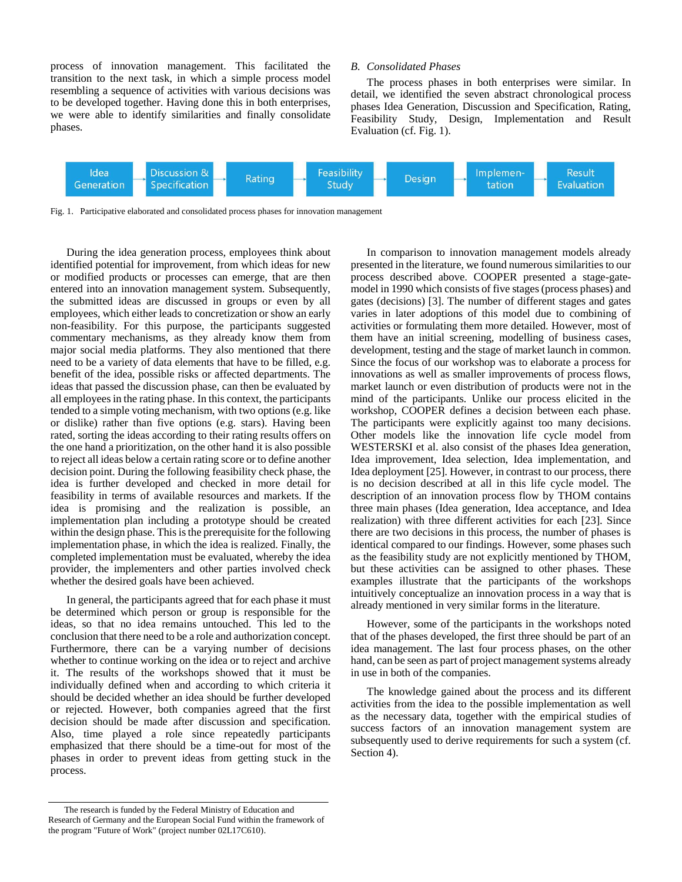process of innovation management. This facilitated the transition to the next task, in which a simple process model resembling a sequence of activities with various decisions was to be developed together. Having done this in both enterprises, we were able to identify similarities and finally consolidate phases.

#### *B. Consolidated Phases*

The process phases in both enterprises were similar. In detail, we identified the seven abstract chronological process phases Idea Generation, Discussion and Specification, Rating, Feasibility Study, Design, Implementation and Result Evaluation (cf. Fig. 1).



Fig. 1. Participative elaborated and consolidated process phases for innovation management

During the idea generation process, employees think about identified potential for improvement, from which ideas for new or modified products or processes can emerge, that are then entered into an innovation management system. Subsequently, the submitted ideas are discussed in groups or even by all employees, which either leads to concretization or show an early non-feasibility. For this purpose, the participants suggested commentary mechanisms, as they already know them from major social media platforms. They also mentioned that there need to be a variety of data elements that have to be filled, e.g. benefit of the idea, possible risks or affected departments. The ideas that passed the discussion phase, can then be evaluated by all employees in the rating phase. In this context, the participants tended to a simple voting mechanism, with two options (e.g. like or dislike) rather than five options (e.g. stars). Having been rated, sorting the ideas according to their rating results offers on the one hand a prioritization, on the other hand it is also possible to reject all ideas below a certain rating score or to define another decision point. During the following feasibility check phase, the idea is further developed and checked in more detail for feasibility in terms of available resources and markets. If the idea is promising and the realization is possible, an implementation plan including a prototype should be created within the design phase. This is the prerequisite for the following implementation phase, in which the idea is realized. Finally, the completed implementation must be evaluated, whereby the idea provider, the implementers and other parties involved check whether the desired goals have been achieved.

In general, the participants agreed that for each phase it must be determined which person or group is responsible for the ideas, so that no idea remains untouched. This led to the conclusion that there need to be a role and authorization concept. Furthermore, there can be a varying number of decisions whether to continue working on the idea or to reject and archive it. The results of the workshops showed that it must be individually defined when and according to which criteria it should be decided whether an idea should be further developed or rejected. However, both companies agreed that the first decision should be made after discussion and specification. Also, time played a role since repeatedly participants emphasized that there should be a time-out for most of the phases in order to prevent ideas from getting stuck in the process.

In comparison to innovation management models already presented in the literature, we found numerous similarities to our process described above. COOPER presented a stage-gatemodel in 1990 which consists of five stages (process phases) and gates (decisions) [3]. The number of different stages and gates varies in later adoptions of this model due to combining of activities or formulating them more detailed. However, most of them have an initial screening, modelling of business cases, development, testing and the stage of market launch in common. Since the focus of our workshop was to elaborate a process for innovations as well as smaller improvements of process flows, market launch or even distribution of products were not in the mind of the participants. Unlike our process elicited in the workshop, COOPER defines a decision between each phase. The participants were explicitly against too many decisions. Other models like the innovation life cycle model from WESTERSKI et al. also consist of the phases Idea generation, Idea improvement, Idea selection, Idea implementation, and Idea deployment [25]. However, in contrast to our process, there is no decision described at all in this life cycle model. The description of an innovation process flow by THOM contains three main phases (Idea generation, Idea acceptance, and Idea realization) with three different activities for each [23]. Since there are two decisions in this process, the number of phases is identical compared to our findings. However, some phases such as the feasibility study are not explicitly mentioned by THOM, but these activities can be assigned to other phases. These examples illustrate that the participants of the workshops intuitively conceptualize an innovation process in a way that is already mentioned in very similar forms in the literature.

However, some of the participants in the workshops noted that of the phases developed, the first three should be part of an idea management. The last four process phases, on the other hand, can be seen as part of project management systems already in use in both of the companies.

The knowledge gained about the process and its different activities from the idea to the possible implementation as well as the necessary data, together with the empirical studies of success factors of an innovation management system are subsequently used to derive requirements for such a system (cf. Section 4).

The research is funded by the Federal Ministry of Education and Research of Germany and the European Social Fund within the framework of the program "Future of Work" (project number 02L17C610).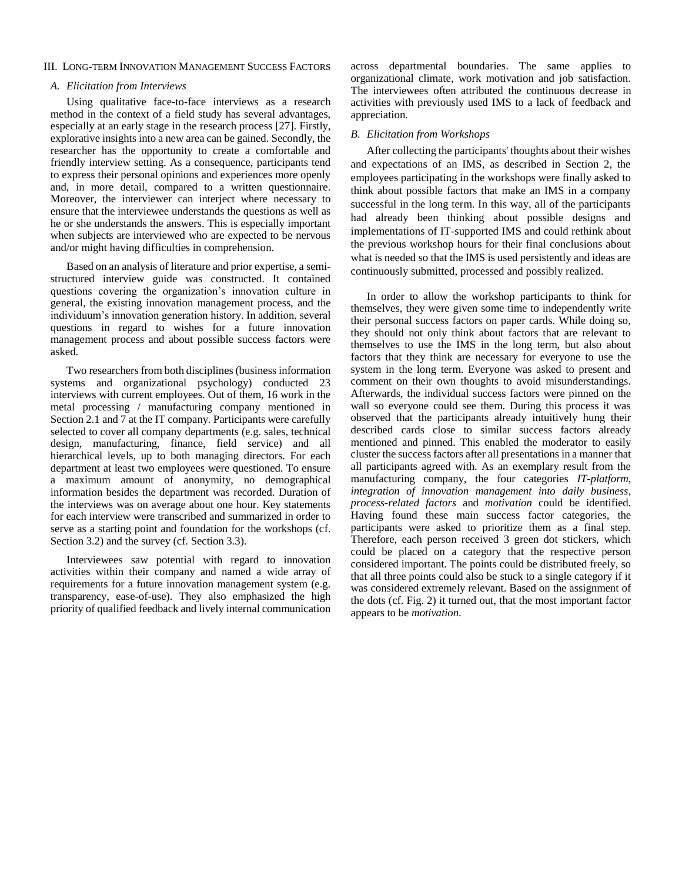## III. LONG-TERM INNOVATION MANAGEMENT SUCCESS FACTORS

## *A. Elicitation from Interviews*

Using qualitative face-to-face interviews as a research method in the context of a field study has several advantages, especially at an early stage in the research process [27]. Firstly, explorative insights into a new area can be gained. Secondly, the researcher has the opportunity to create a comfortable and friendly interview setting. As a consequence, participants tend to express their personal opinions and experiences more openly and, in more detail, compared to a written questionnaire. Moreover, the interviewer can interject where necessary to ensure that the interviewee understands the questions as well as he or she understands the answers. This is especially important when subjects are interviewed who are expected to be nervous and/or might having difficulties in comprehension.

Based on an analysis of literature and prior expertise, a semistructured interview guide was constructed. It contained questions covering the organization's innovation culture in general, the existing innovation management process, and the individuum's innovation generation history. In addition, several questions in regard to wishes for a future innovation management process and about possible success factors were asked.

Two researchers from both disciplines (business information systems and organizational psychology) conducted 23 interviews with current employees. Out of them, 16 work in the metal processing / manufacturing company mentioned in Section 2.1 and 7 at the IT company. Participants were carefully selected to cover all company departments (e.g. sales, technical design, manufacturing, finance, field service) and all hierarchical levels, up to both managing directors. For each department at least two employees were questioned. To ensure a maximum amount of anonymity, no demographical information besides the department was recorded. Duration of the interviews was on average about one hour. Key statements for each interview were transcribed and summarized in order to serve as a starting point and foundation for the workshops (cf. Section 3.2) and the survey (cf. Section 3.3).

Interviewees saw potential with regard to innovation activities within their company and named a wide array of requirements for a future innovation management system (e.g. transparency, ease-of-use). They also emphasized the high priority of qualified feedback and lively internal communication across departmental boundaries. The same applies to organizational climate, work motivation and job satisfaction. The interviewees often attributed the continuous decrease in activities with previously used IMS to a lack of feedback and appreciation.

## *B. Elicitation from Workshops*

After collecting the participants' thoughts about their wishes and expectations of an IMS, as described in Section 2, the employees participating in the workshops were finally asked to think about possible factors that make an IMS in a company successful in the long term. In this way, all of the participants had already been thinking about possible designs and implementations of IT-supported IMS and could rethink about the previous workshop hours for their final conclusions about what is needed so that the IMS is used persistently and ideas are continuously submitted, processed and possibly realized.

In order to allow the workshop participants to think for themselves, they were given some time to independently write their personal success factors on paper cards. While doing so, they should not only think about factors that are relevant to themselves to use the IMS in the long term, but also about factors that they think are necessary for everyone to use the system in the long term. Everyone was asked to present and comment on their own thoughts to avoid misunderstandings. Afterwards, the individual success factors were pinned on the wall so everyone could see them. During this process it was observed that the participants already intuitively hung their described cards close to similar success factors already mentioned and pinned. This enabled the moderator to easily cluster the success factors after all presentations in a manner that all participants agreed with. As an exemplary result from the manufacturing company, the four categories *IT-platform*, *integration of innovation management into daily business*, *process-related factors* and *motivation* could be identified. Having found these main success factor categories, the participants were asked to prioritize them as a final step. Therefore, each person received 3 green dot stickers, which could be placed on a category that the respective person considered important. The points could be distributed freely, so that all three points could also be stuck to a single category if it was considered extremely relevant. Based on the assignment of the dots (cf. Fig. 2) it turned out, that the most important factor appears to be *motivation*.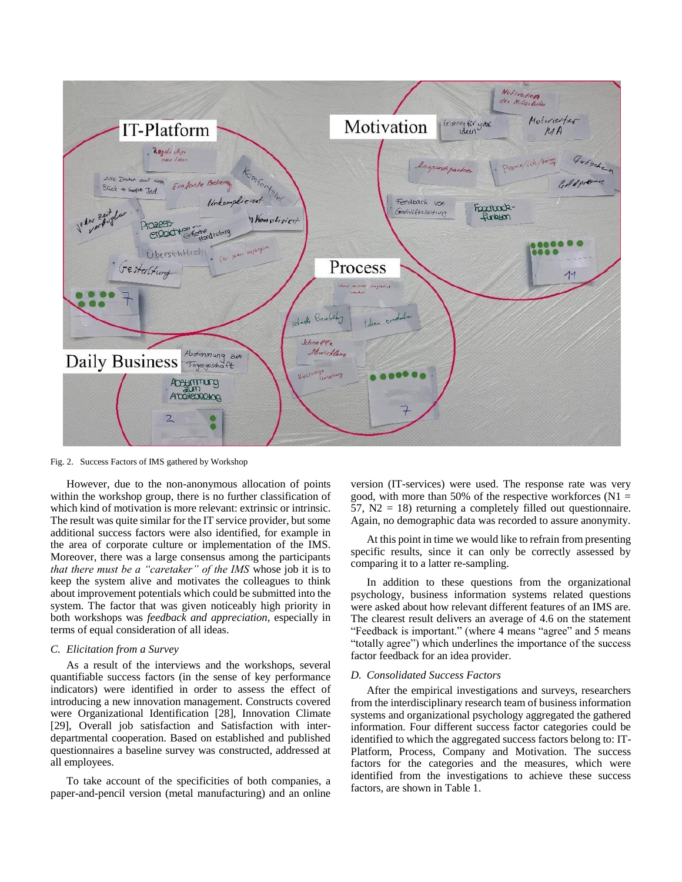

Fig. 2. Success Factors of IMS gathered by Workshop

However, due to the non-anonymous allocation of points within the workshop group, there is no further classification of which kind of motivation is more relevant: extrinsic or intrinsic. The result was quite similar for the IT service provider, but some additional success factors were also identified, for example in the area of corporate culture or implementation of the IMS. Moreover, there was a large consensus among the participants *that there must be a "caretaker" of the IMS* whose job it is to keep the system alive and motivates the colleagues to think about improvement potentials which could be submitted into the system. The factor that was given noticeably high priority in both workshops was *feedback and appreciation*, especially in terms of equal consideration of all ideas.

## *C. Elicitation from a Survey*

As a result of the interviews and the workshops, several quantifiable success factors (in the sense of key performance indicators) were identified in order to assess the effect of introducing a new innovation management. Constructs covered were Organizational Identification [28], Innovation Climate [29], Overall job satisfaction and Satisfaction with interdepartmental cooperation. Based on established and published questionnaires a baseline survey was constructed, addressed at all employees.

To take account of the specificities of both companies, a paper-and-pencil version (metal manufacturing) and an online version (IT-services) were used. The response rate was very good, with more than 50% of the respective workforces ( $N1 =$  $57$ ,  $N2 = 18$ ) returning a completely filled out questionnaire. Again, no demographic data was recorded to assure anonymity.

At this point in time we would like to refrain from presenting specific results, since it can only be correctly assessed by comparing it to a latter re-sampling.

In addition to these questions from the organizational psychology, business information systems related questions were asked about how relevant different features of an IMS are. The clearest result delivers an average of 4.6 on the statement "Feedback is important." (where 4 means "agree" and 5 means "totally agree") which underlines the importance of the success factor feedback for an idea provider.

#### *D. Consolidated Success Factors*

After the empirical investigations and surveys, researchers from the interdisciplinary research team of business information systems and organizational psychology aggregated the gathered information. Four different success factor categories could be identified to which the aggregated success factors belong to: IT-Platform, Process, Company and Motivation. The success factors for the categories and the measures, which were identified from the investigations to achieve these success factors, are shown in Table 1.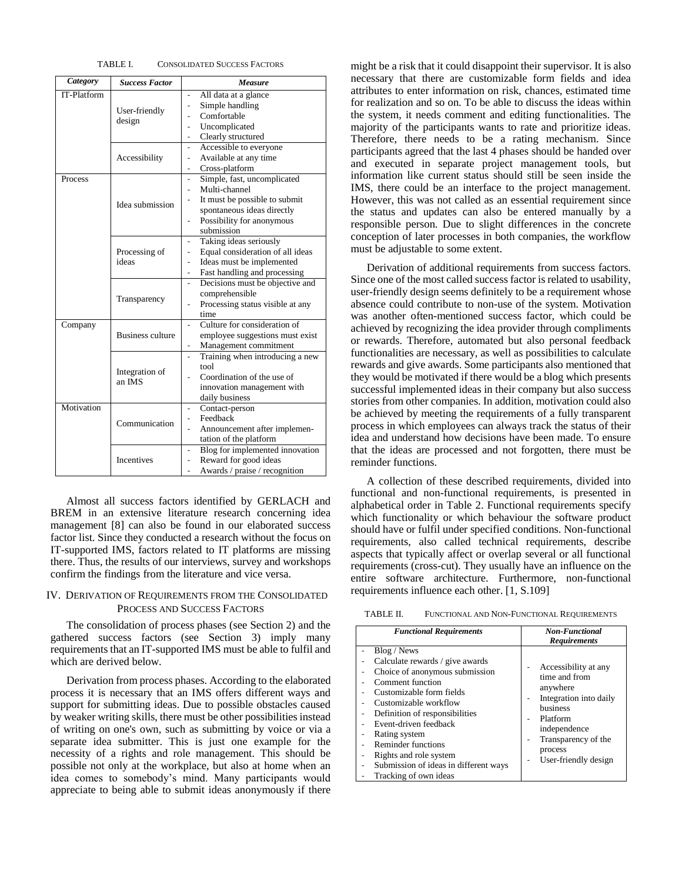| TABLE L | <b>CONSOLIDATED SUCCESS FACTORS</b> |  |
|---------|-------------------------------------|--|
|---------|-------------------------------------|--|

| Category    | <b>Success Factor</b>    | <b>Measure</b>                                              |
|-------------|--------------------------|-------------------------------------------------------------|
| IT-Platform |                          | All data at a glance                                        |
|             | User-friendly            | Simple handling                                             |
|             |                          | Comfortable                                                 |
|             | design                   | Uncomplicated<br>$\overline{\phantom{0}}$                   |
|             |                          | Clearly structured<br>$\qquad \qquad \blacksquare$          |
|             | Accessibility            | Accessible to everyone<br>$\overline{\phantom{a}}$          |
|             |                          | Available at any time<br>$\qquad \qquad \blacksquare$       |
|             |                          | Cross-platform<br>$\qquad \qquad \blacksquare$              |
| Process     |                          | Simple, fast, uncomplicated<br>$\overline{\phantom{a}}$     |
|             |                          | Multi-channel<br>-                                          |
|             | Idea submission          | It must be possible to submit                               |
|             |                          | spontaneous ideas directly                                  |
|             |                          | Possibility for anonymous<br>$\qquad \qquad \blacksquare$   |
|             |                          | submission                                                  |
|             | Processing of<br>ideas   | Taking ideas seriously                                      |
|             |                          | Equal consideration of all ideas                            |
|             |                          | Ideas must be implemented                                   |
|             |                          | Fast handling and processing                                |
|             | Transparency             | Decisions must be objective and                             |
|             |                          | comprehensible                                              |
|             |                          | Processing status visible at any<br>$\overline{a}$          |
|             |                          | time                                                        |
| Company     |                          | Culture for consideration of<br>$\overline{\phantom{a}}$    |
|             | <b>Business culture</b>  | employee suggestions must exist                             |
|             |                          | Management commitment<br>$\qquad \qquad \blacksquare$       |
|             | Integration of<br>an IMS | Training when introducing a new<br>$\overline{\phantom{a}}$ |
|             |                          | tool                                                        |
|             |                          | Coordination of the use of                                  |
|             |                          | innovation management with                                  |
|             |                          | daily business                                              |
| Motivation  |                          | Contact-person<br>-                                         |
|             | Communication            | Feedback                                                    |
|             |                          | Announcement after implemen-                                |
|             |                          | tation of the platform                                      |
|             | Incentives               | Blog for implemented innovation<br>$\overline{\phantom{a}}$ |
|             |                          | Reward for good ideas                                       |
|             |                          | Awards / praise / recognition<br>$\overline{a}$             |

Almost all success factors identified by GERLACH and BREM in an extensive literature research concerning idea management [8] can also be found in our elaborated success factor list. Since they conducted a research without the focus on IT-supported IMS, factors related to IT platforms are missing there. Thus, the results of our interviews, survey and workshops confirm the findings from the literature and vice versa.

## IV. DERIVATION OF REQUIREMENTS FROM THE CONSOLIDATED PROCESS AND SUCCESS FACTORS

The consolidation of process phases (see Section 2) and the gathered success factors (see Section 3) imply many requirements that an IT-supported IMS must be able to fulfil and which are derived below.

Derivation from process phases. According to the elaborated process it is necessary that an IMS offers different ways and support for submitting ideas. Due to possible obstacles caused by weaker writing skills, there must be other possibilities instead of writing on one's own, such as submitting by voice or via a separate idea submitter. This is just one example for the necessity of a rights and role management. This should be possible not only at the workplace, but also at home when an idea comes to somebody's mind. Many participants would appreciate to being able to submit ideas anonymously if there might be a risk that it could disappoint their supervisor. It is also necessary that there are customizable form fields and idea attributes to enter information on risk, chances, estimated time for realization and so on. To be able to discuss the ideas within the system, it needs comment and editing functionalities. The majority of the participants wants to rate and prioritize ideas. Therefore, there needs to be a rating mechanism. Since participants agreed that the last 4 phases should be handed over and executed in separate project management tools, but information like current status should still be seen inside the IMS, there could be an interface to the project management. However, this was not called as an essential requirement since the status and updates can also be entered manually by a responsible person. Due to slight differences in the concrete conception of later processes in both companies, the workflow must be adjustable to some extent.

Derivation of additional requirements from success factors. Since one of the most called success factor is related to usability, user-friendly design seems definitely to be a requirement whose absence could contribute to non-use of the system. Motivation was another often-mentioned success factor, which could be achieved by recognizing the idea provider through compliments or rewards. Therefore, automated but also personal feedback functionalities are necessary, as well as possibilities to calculate rewards and give awards. Some participants also mentioned that they would be motivated if there would be a blog which presents successful implemented ideas in their company but also success stories from other companies. In addition, motivation could also be achieved by meeting the requirements of a fully transparent process in which employees can always track the status of their idea and understand how decisions have been made. To ensure that the ideas are processed and not forgotten, there must be reminder functions.

A collection of these described requirements, divided into functional and non-functional requirements, is presented in alphabetical order in Table 2. Functional requirements specify which functionality or which behaviour the software product should have or fulfil under specified conditions. Non-functional requirements, also called technical requirements, describe aspects that typically affect or overlap several or all functional requirements (cross-cut). They usually have an influence on the entire software architecture. Furthermore, non-functional requirements influence each other. [1, S.109]

TABLE II. FUNCTIONAL AND NON-FUNCTIONAL REQUIREMENTS

| <b>Functional Requirements</b>                                                                                                                                                                                                                                                                                                                          | <b>Non-Functional</b><br><b>Requirements</b>                                                                                                                                                                                                                              |
|---------------------------------------------------------------------------------------------------------------------------------------------------------------------------------------------------------------------------------------------------------------------------------------------------------------------------------------------------------|---------------------------------------------------------------------------------------------------------------------------------------------------------------------------------------------------------------------------------------------------------------------------|
| Blog / News<br>Calculate rewards / give awards<br>Choice of anonymous submission<br>Comment function<br>Customizable form fields<br>Customizable workflow<br>Definition of responsibilities<br>Event-driven feedback<br>Rating system<br>Reminder functions<br>Rights and role system<br>Submission of ideas in different ways<br>Tracking of own ideas | Accessibility at any<br>time and from<br>anywhere<br>Integration into daily<br>$\qquad \qquad \blacksquare$<br>business<br>Platform<br>$\qquad \qquad \blacksquare$<br>independence<br>Transparency of the<br>$\overline{\phantom{a}}$<br>process<br>User-friendly design |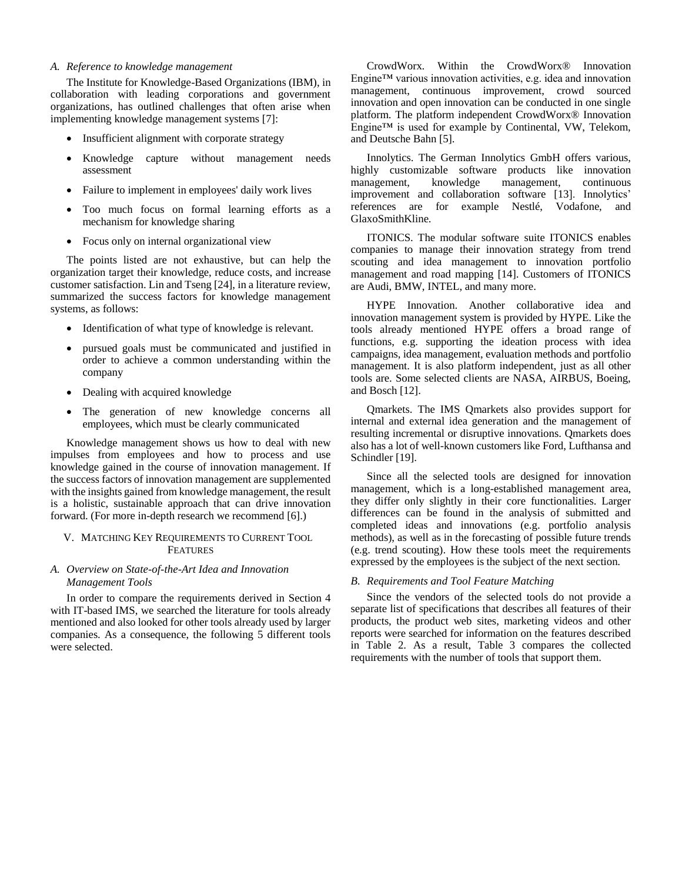## *A. Reference to knowledge management*

The Institute for Knowledge-Based Organizations (IBM), in collaboration with leading corporations and government organizations, has outlined challenges that often arise when implementing knowledge management systems [7]:

- Insufficient alignment with corporate strategy
- Knowledge capture without management needs assessment
- Failure to implement in employees' daily work lives
- Too much focus on formal learning efforts as a mechanism for knowledge sharing
- Focus only on internal organizational view

The points listed are not exhaustive, but can help the organization target their knowledge, reduce costs, and increase customer satisfaction. Lin and Tseng [24], in a literature review, summarized the success factors for knowledge management systems, as follows:

- Identification of what type of knowledge is relevant.
- pursued goals must be communicated and justified in order to achieve a common understanding within the company
- Dealing with acquired knowledge
- The generation of new knowledge concerns all employees, which must be clearly communicated

Knowledge management shows us how to deal with new impulses from employees and how to process and use knowledge gained in the course of innovation management. If the success factors of innovation management are supplemented with the insights gained from knowledge management, the result is a holistic, sustainable approach that can drive innovation forward. (For more in-depth research we recommend [6].)

## V. MATCHING KEY REQUIREMENTS TO CURRENT TOOL FEATURES

# *A. Overview on State-of-the-Art Idea and Innovation Management Tools*

In order to compare the requirements derived in Section 4 with IT-based IMS, we searched the literature for tools already mentioned and also looked for other tools already used by larger companies. As a consequence, the following 5 different tools were selected.

CrowdWorx. Within the CrowdWorx® Innovation Engine™ various innovation activities, e.g. idea and innovation management, continuous improvement, crowd sourced innovation and open innovation can be conducted in one single platform. The platform independent CrowdWorx® Innovation Engine™ is used for example by Continental, VW, Telekom, and Deutsche Bahn [5].

Innolytics. The German Innolytics GmbH offers various, highly customizable software products like innovation management, knowledge management, continuous improvement and collaboration software [13]. Innolytics' references are for example Nestlé, Vodafone, and GlaxoSmithKline.

ITONICS. The modular software suite ITONICS enables companies to manage their innovation strategy from trend scouting and idea management to innovation portfolio management and road mapping [14]. Customers of ITONICS are Audi, BMW, INTEL, and many more.

HYPE Innovation. Another collaborative idea and innovation management system is provided by HYPE. Like the tools already mentioned HYPE offers a broad range of functions, e.g. supporting the ideation process with idea campaigns, idea management, evaluation methods and portfolio management. It is also platform independent, just as all other tools are. Some selected clients are NASA, AIRBUS, Boeing, and Bosch [12].

Qmarkets. The IMS Qmarkets also provides support for internal and external idea generation and the management of resulting incremental or disruptive innovations. Qmarkets does also has a lot of well-known customers like Ford, Lufthansa and Schindler [19].

Since all the selected tools are designed for innovation management, which is a long-established management area, they differ only slightly in their core functionalities. Larger differences can be found in the analysis of submitted and completed ideas and innovations (e.g. portfolio analysis methods), as well as in the forecasting of possible future trends (e.g. trend scouting). How these tools meet the requirements expressed by the employees is the subject of the next section.

# *B. Requirements and Tool Feature Matching*

Since the vendors of the selected tools do not provide a separate list of specifications that describes all features of their products, the product web sites, marketing videos and other reports were searched for information on the features described in Table 2. As a result, Table 3 compares the collected requirements with the number of tools that support them.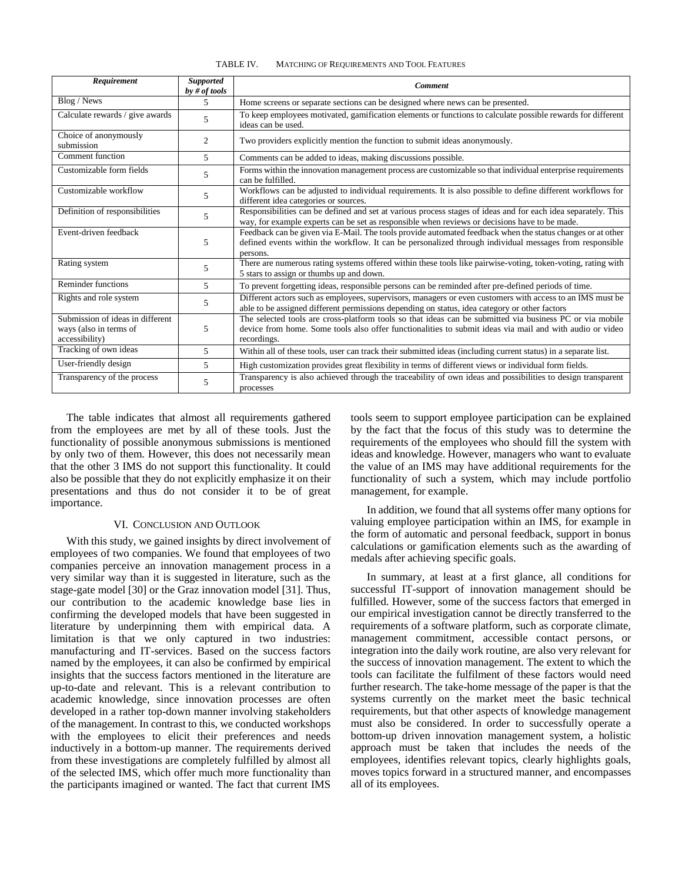| TABLE IV. | MATCHING OF REQUIREMENTS AND TOOL FEATURES |  |
|-----------|--------------------------------------------|--|
|-----------|--------------------------------------------|--|

| Requirement                                                                  | <b>Supported</b><br>by # of tools | <b>Comment</b>                                                                                                                                                                                                                      |
|------------------------------------------------------------------------------|-----------------------------------|-------------------------------------------------------------------------------------------------------------------------------------------------------------------------------------------------------------------------------------|
| Blog / News                                                                  | 5.                                | Home screens or separate sections can be designed where news can be presented.                                                                                                                                                      |
| Calculate rewards / give awards                                              | 5                                 | To keep employees motivated, gamification elements or functions to calculate possible rewards for different<br>ideas can be used.                                                                                                   |
| Choice of anonymously<br>submission                                          | 2                                 | Two providers explicitly mention the function to submit ideas anonymously.                                                                                                                                                          |
| Comment function                                                             | 5                                 | Comments can be added to ideas, making discussions possible.                                                                                                                                                                        |
| Customizable form fields                                                     | 5                                 | Forms within the innovation management process are customizable so that individual enterprise requirements<br>can be fulfilled.                                                                                                     |
| Customizable workflow                                                        | 5                                 | Workflows can be adjusted to individual requirements. It is also possible to define different workflows for<br>different idea categories or sources.                                                                                |
| Definition of responsibilities                                               | 5                                 | Responsibilities can be defined and set at various process stages of ideas and for each idea separately. This<br>way, for example experts can be set as responsible when reviews or decisions have to be made.                      |
| Event-driven feedback                                                        | 5                                 | Feedback can be given via E-Mail. The tools provide automated feedback when the status changes or at other<br>defined events within the workflow. It can be personalized through individual messages from responsible<br>persons.   |
| Rating system                                                                | 5                                 | There are numerous rating systems offered within these tools like pairwise-voting, token-voting, rating with<br>5 stars to assign or thumbs up and down.                                                                            |
| Reminder functions                                                           | $\overline{5}$                    | To prevent forgetting ideas, responsible persons can be reminded after pre-defined periods of time.                                                                                                                                 |
| Rights and role system                                                       | 5                                 | Different actors such as employees, supervisors, managers or even customers with access to an IMS must be<br>able to be assigned different permissions depending on status, idea category or other factors                          |
| Submission of ideas in different<br>ways (also in terms of<br>accessibility) | 5                                 | The selected tools are cross-platform tools so that ideas can be submitted via business PC or via mobile<br>device from home. Some tools also offer functionalities to submit ideas via mail and with audio or video<br>recordings. |
| Tracking of own ideas                                                        | 5                                 | Within all of these tools, user can track their submitted ideas (including current status) in a separate list.                                                                                                                      |
| User-friendly design                                                         | 5                                 | High customization provides great flexibility in terms of different views or individual form fields.                                                                                                                                |
| Transparency of the process                                                  | 5                                 | Transparency is also achieved through the traceability of own ideas and possibilities to design transparent<br>processes                                                                                                            |

The table indicates that almost all requirements gathered from the employees are met by all of these tools. Just the functionality of possible anonymous submissions is mentioned by only two of them. However, this does not necessarily mean that the other 3 IMS do not support this functionality. It could also be possible that they do not explicitly emphasize it on their presentations and thus do not consider it to be of great importance.

#### VI. CONCLUSION AND OUTLOOK

With this study, we gained insights by direct involvement of employees of two companies. We found that employees of two companies perceive an innovation management process in a very similar way than it is suggested in literature, such as the stage-gate model [30] or the Graz innovation model [31]. Thus, our contribution to the academic knowledge base lies in confirming the developed models that have been suggested in literature by underpinning them with empirical data. A limitation is that we only captured in two industries: manufacturing and IT-services. Based on the success factors named by the employees, it can also be confirmed by empirical insights that the success factors mentioned in the literature are up-to-date and relevant. This is a relevant contribution to academic knowledge, since innovation processes are often developed in a rather top-down manner involving stakeholders of the management. In contrast to this, we conducted workshops with the employees to elicit their preferences and needs inductively in a bottom-up manner. The requirements derived from these investigations are completely fulfilled by almost all of the selected IMS, which offer much more functionality than the participants imagined or wanted. The fact that current IMS

tools seem to support employee participation can be explained by the fact that the focus of this study was to determine the requirements of the employees who should fill the system with ideas and knowledge. However, managers who want to evaluate the value of an IMS may have additional requirements for the functionality of such a system, which may include portfolio management, for example.

In addition, we found that all systems offer many options for valuing employee participation within an IMS, for example in the form of automatic and personal feedback, support in bonus calculations or gamification elements such as the awarding of medals after achieving specific goals.

In summary, at least at a first glance, all conditions for successful IT-support of innovation management should be fulfilled. However, some of the success factors that emerged in our empirical investigation cannot be directly transferred to the requirements of a software platform, such as corporate climate, management commitment, accessible contact persons, or integration into the daily work routine, are also very relevant for the success of innovation management. The extent to which the tools can facilitate the fulfilment of these factors would need further research. The take-home message of the paper is that the systems currently on the market meet the basic technical requirements, but that other aspects of knowledge management must also be considered. In order to successfully operate a bottom-up driven innovation management system, a holistic approach must be taken that includes the needs of the employees, identifies relevant topics, clearly highlights goals, moves topics forward in a structured manner, and encompasses all of its employees.